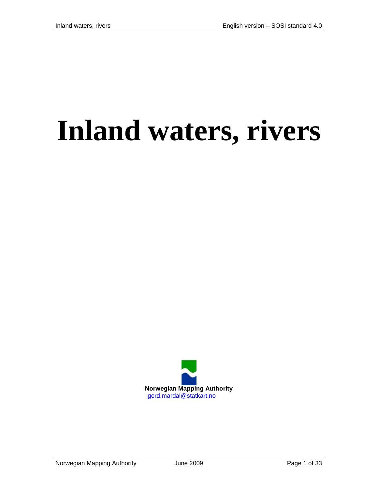# **Inland waters, rivers**

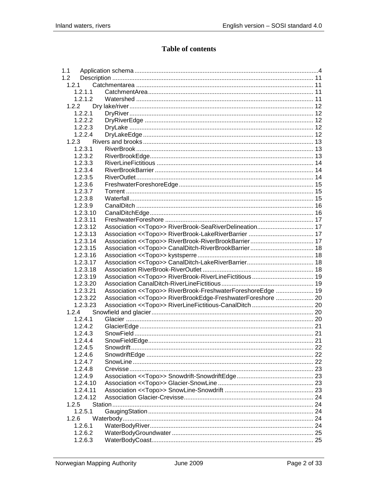#### **Table of contents**

| 1.1      |                                                              |  |
|----------|--------------------------------------------------------------|--|
| 1.2      |                                                              |  |
| 1.2.1    |                                                              |  |
| 1.2.1.1  |                                                              |  |
| 1.2.1.2  |                                                              |  |
| 1.2.2    |                                                              |  |
| 1.2.2.1  |                                                              |  |
| 1.2.2.2  |                                                              |  |
| 1.2.2.3  |                                                              |  |
| 1.2.2.4  |                                                              |  |
| 1.2.3    |                                                              |  |
| 1.2.3.1  |                                                              |  |
| 1.2.3.2  |                                                              |  |
| 1.2.3.3  |                                                              |  |
| 1.2.3.4  |                                                              |  |
| 1.2.3.5  |                                                              |  |
| 1.2.3.6  |                                                              |  |
| 1.2.3.7  |                                                              |  |
| 1.2.3.8  |                                                              |  |
| 1.2.3.9  |                                                              |  |
| 1.2.3.10 |                                                              |  |
| 1.2.3.11 |                                                              |  |
| 1.2.3.12 | Association << Topo>> RiverBrook-SeaRiverDelineation 17      |  |
|          |                                                              |  |
| 1.2.3.13 |                                                              |  |
| 1.2.3.14 |                                                              |  |
| 1.2.3.15 |                                                              |  |
| 1.2.3.16 |                                                              |  |
| 1.2.3.17 |                                                              |  |
| 1.2.3.18 |                                                              |  |
| 1.2.3.19 |                                                              |  |
| 1.2.3.20 |                                                              |  |
| 1.2.3.21 | Association << Topo>> RiverBrook-FreshwaterForeshoreEdge  19 |  |
| 1.2.3.22 | Association << Topo>> RiverBrookEdge-FreshwaterForeshore  20 |  |
| 1.2.3.23 |                                                              |  |
| 1.2.4    |                                                              |  |
| 1.2.4.1  |                                                              |  |
| 1.2.4.2  |                                                              |  |
| 1.2.4.3  |                                                              |  |
| 1.2.4.4  |                                                              |  |
| 1.2.4.5  |                                                              |  |
| 1.2.4.6  |                                                              |  |
| 1.2.4.7  |                                                              |  |
| 1.2.4.8  |                                                              |  |
| 1.2.4.9  |                                                              |  |
| 1.2.4.10 |                                                              |  |
| 1.2.4.11 |                                                              |  |
| 1.2.4.12 |                                                              |  |
| 1.2.5    |                                                              |  |
| 1.2.5.1  |                                                              |  |
| 1.2.6    |                                                              |  |
| 1.2.6.1  |                                                              |  |
| 1.2.6.2  |                                                              |  |
| 1.2.6.3  |                                                              |  |
|          |                                                              |  |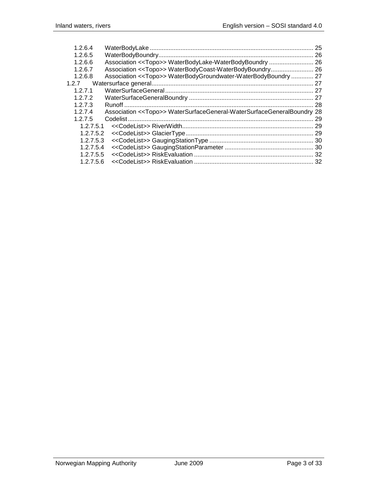| 1.2.6.4   |                                                                                   | 25  |
|-----------|-----------------------------------------------------------------------------------|-----|
| 1.2.6.5   |                                                                                   |     |
| 1.2.6.6   |                                                                                   |     |
| 1.2.6.7   | Association < <topo>&gt; WaterBodyCoast-WaterBodyBoundry 26</topo>                |     |
| 1.2.6.8   | Association < <topo>&gt; WaterBodyGroundwater-WaterBodyBoundry  27</topo>         |     |
|           |                                                                                   | 27  |
| 1.2.7.1   |                                                                                   |     |
| 1.2.7.2   |                                                                                   |     |
| 1.2.7.3   |                                                                                   |     |
| 1.2.7.4   | Association < <topo>&gt; WaterSurfaceGeneral-WaterSurfaceGeneralBoundry 28</topo> |     |
| 1.2.7.5   |                                                                                   | 29  |
| 1.2.7.5.1 |                                                                                   | 29  |
| 1.2.7.5.2 |                                                                                   |     |
| 1.2.7.5.3 |                                                                                   |     |
| 1.2.7.5.4 |                                                                                   |     |
| 1.2.7.5.5 |                                                                                   |     |
| 1.2.7.5.6 |                                                                                   | -32 |
|           |                                                                                   |     |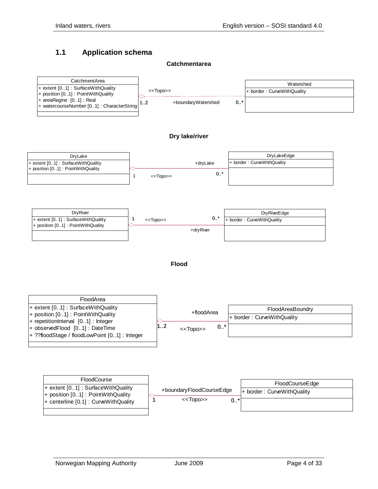#### <span id="page-3-0"></span>**1.1 Application schema**

#### **Catchmentarea**

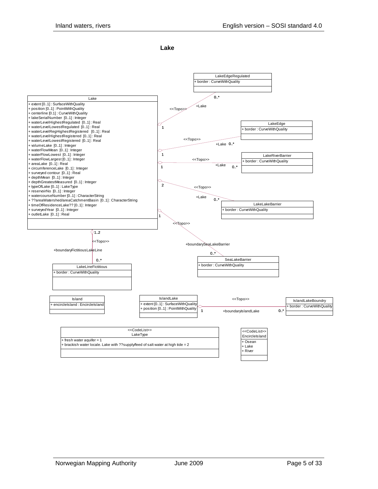**Lake**

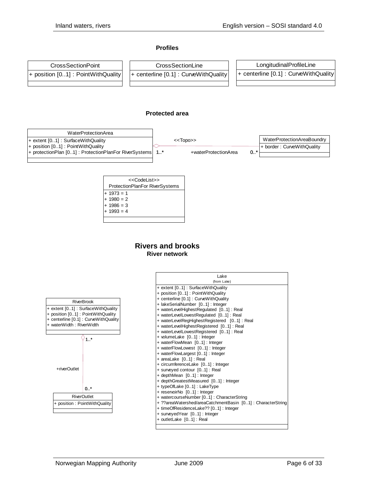#### **Profiles**



#### **Protected area**



| < <codelist>&gt;</codelist>           |  |  |  |  |  |
|---------------------------------------|--|--|--|--|--|
| <b>ProtectionPlanFor RiverSystems</b> |  |  |  |  |  |
| $+ 1973 = 1$                          |  |  |  |  |  |
| $+ 1980 = 2$                          |  |  |  |  |  |
| $+ 1986 = 3$                          |  |  |  |  |  |
| $+ 1993 = 4$                          |  |  |  |  |  |
|                                       |  |  |  |  |  |

#### **Rivers and brooks River network**

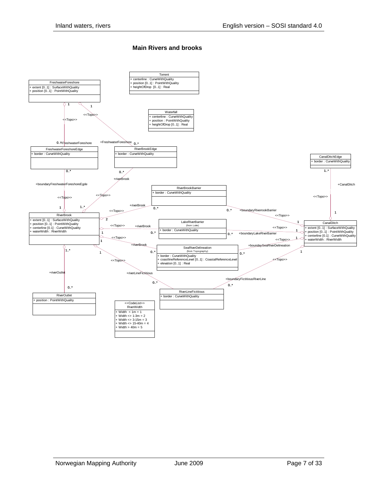#### **Main Rivers and brooks**

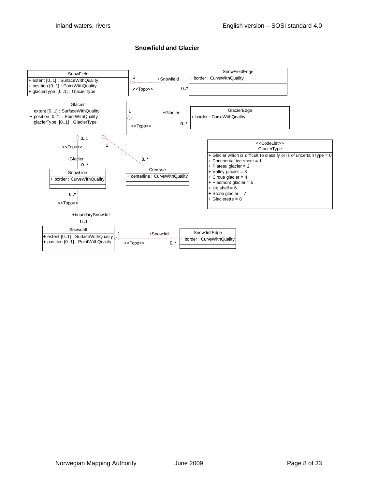#### **Snowfield and Glacier**

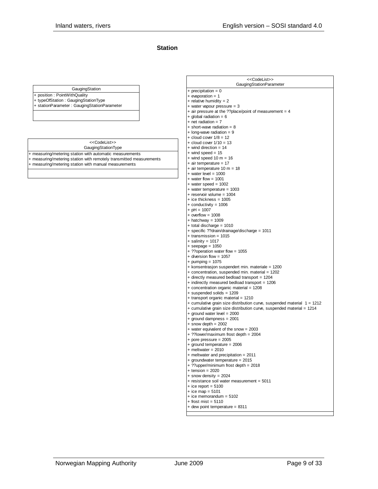#### **Station**

| GaugingStation |
|----------------|
|----------------|

+ position : PointWithQuality

+ typeOfStation : GaugingStationType + stationParameter : GaugingStationParameter

#### GaugingStationType <<CodeList>>

+ measuring/metering station with automatic measurements + measuring/metering station with remotely transmitted measurements

+ measuring/metering station with manual measurements

| < <codelist>&gt;<br/>GaugingStationParameter</codelist>                 |
|-------------------------------------------------------------------------|
| + precipitation = $0$                                                   |
| $+$ evaporation = 1                                                     |
| + relative humidity = $2$                                               |
| + water vapour pressure = 3                                             |
| + air pressure at the ??place/point of measurement = 4                  |
| $+$ global radiation = 6                                                |
| $+$ net radiation = 7                                                   |
| $+$ short-wave radiation = 8                                            |
| $+$ long-wave radiation = 9                                             |
| $+$ cloud cover $1/8 = 12$                                              |
| $+$ cloud cover $1/10 = 13$                                             |
| + wind direction = 14<br>$+$ wind speed = 15                            |
| $+$ wind speed 10 m = 16                                                |
| $+$ air temperature = 17                                                |
| + air temperature 10 m = 18                                             |
| $+$ water level = 1000                                                  |
| $+$ water flow = 1001                                                   |
| $+$ water speed = 1002                                                  |
| + water temperature = 1003                                              |
| $+$ reservoir volume = 1004                                             |
| $+$ ice thickness = 1005                                                |
| + conductivity = $1006$                                                 |
| + $pH = 1007$                                                           |
| $+$ overflow = 1008                                                     |
| $+$ hatchway = 1009                                                     |
| + total discharge = 1010                                                |
| + specific ??drain/drainage/discharge = 1011                            |
| $+$ transmission = 1015                                                 |
| $+$ salinity = 1017                                                     |
| $+$ seepage = 1050                                                      |
| + ??operation water flow = 1055<br>+ diversion flow = 1057              |
| + pumping = $1075$                                                      |
| + konsentrasjon suspendert min. materiale = 1200                        |
| + concentration, suspended min. material = 1202                         |
| + directly measured bedload transport = 1204                            |
| + indirectly measured bedload transport = 1206                          |
| + concentration organic material = 1208                                 |
| + suspended solids = 1209                                               |
| + transport organic material = 1210                                     |
| + cumulative grain size distribution curve, suspended material 1 = 1212 |
| + cumulative grain size distribution curve, suspended material = 1214   |
| $+$ ground water level = 2000                                           |
| + ground dampness = 2001                                                |
| $+$ snow depth = 2002                                                   |
| + water equivalent of the snow = 2003                                   |
| + ??lower/maximum frost depth = 2004                                    |
| + pore pressure = $2005$                                                |
| $+$ ground temperature = 2006                                           |
| $+$ meltwater = 2010                                                    |
| + meltwater and precipitation = 2011                                    |
| + groundwater temperature = 2015                                        |
| + ??upper/minimum frost depth = 2018<br>$+$ tension = 2020              |
| $+$ snow density = 2024                                                 |
| + resistance soil water measurement = 5011                              |
| $+$ ice report = 5100                                                   |
| + ice map = $5101$                                                      |
| $+$ ice memorandum = 5102                                               |
| $+$ frost mist = 5110                                                   |
| + dew point temperature = 8311                                          |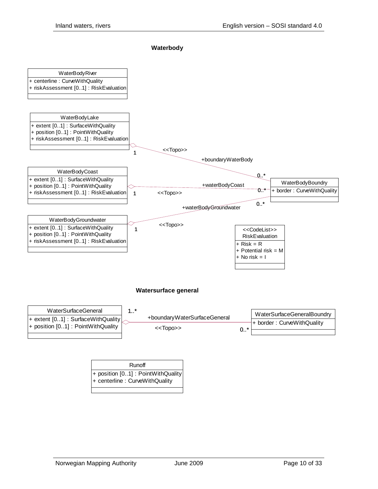#### **Waterbody**



| Runoff                                                                |
|-----------------------------------------------------------------------|
| + position [01] : PointWithQuality<br>+ centerline : CurveWithQuality |
|                                                                       |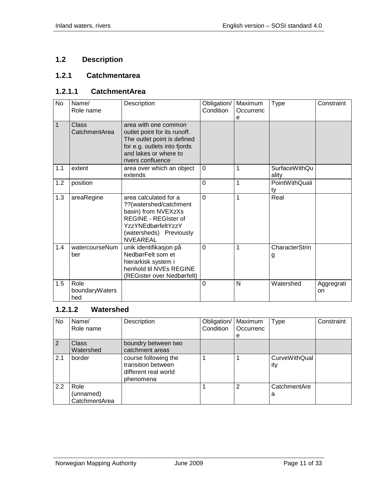# <span id="page-10-0"></span>**1.2 Description**

#### <span id="page-10-1"></span>**1.2.1 Catchmentarea**

#### <span id="page-10-2"></span>**1.2.1.1 CatchmentArea**

| No  | Name/<br>Role name            | Description                                                                                                                                                               | Obligation/<br>Condition | Maximum<br>Occurrenc<br>e | Type                          | Constraint       |
|-----|-------------------------------|---------------------------------------------------------------------------------------------------------------------------------------------------------------------------|--------------------------|---------------------------|-------------------------------|------------------|
| 1   | Class<br>CatchmentArea        | area with one common<br>outlet point for its runoff.<br>The outlet point is defined<br>for e.g. outlets into fjords<br>and lakes or where to<br>rivers confluence         |                          |                           |                               |                  |
| 1.1 | extent                        | area over which an object<br>extends                                                                                                                                      | $\Omega$                 | 1                         | <b>SurfaceWithQu</b><br>ality |                  |
| 1.2 | position                      |                                                                                                                                                                           | $\Omega$                 | 1                         | PointWithQuali<br>ty          |                  |
| 1.3 | areaRegine                    | area calculated for a<br>??(watershed/catchment<br>basin) from NVEXzXs<br><b>REGINE - REGIster of</b><br>YzzYNEdbørfeltYzzY<br>(watersheds) Previously<br><b>NVEAREAL</b> | $\overline{0}$           | 1                         | Real                          |                  |
| 1.4 | watercourseNum<br>ber         | unik identifikasjon på<br>NedbørFelt som et<br>hierarkisk system i<br>henhold til NVEs REGINE<br>(REGister over Nedbørfelt)                                               | $\overline{0}$           | 1                         | <b>CharacterStrin</b><br>g    |                  |
| 1.5 | Role<br>boundaryWaters<br>hed |                                                                                                                                                                           | $\overline{0}$           | N                         | Watershed                     | Aggregrati<br>on |

#### <span id="page-10-3"></span>**1.2.1.2 Watershed**

| No. | Name/<br>Role name                 | Description                                                                     | Obligation/<br>Condition | Maximum<br>Occurrenc<br>е | <b>Type</b>                 | Constraint |
|-----|------------------------------------|---------------------------------------------------------------------------------|--------------------------|---------------------------|-----------------------------|------------|
| 2   | <b>Class</b><br>Watershed          | boundry between two<br>catchment areas                                          |                          |                           |                             |            |
| 2.1 | border                             | course following the<br>transition between<br>different real world<br>phenomena |                          |                           | <b>CurveWithQual</b><br>ity |            |
| 2.2 | Role<br>(unnamed)<br>CatchmentArea |                                                                                 |                          | 2                         | CatchmentAre<br>а           |            |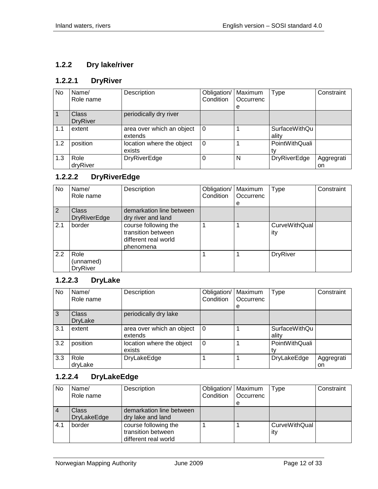#### <span id="page-11-0"></span>**1.2.2 Dry lake/river**

# <span id="page-11-1"></span>**1.2.2.1 DryRiver**

| No. | Name/<br>Role name              | Description                          | Obligation/<br>Condition | Maximum<br>Occurrenc<br>e | <b>Type</b>                   | Constraint       |
|-----|---------------------------------|--------------------------------------|--------------------------|---------------------------|-------------------------------|------------------|
|     | <b>Class</b><br><b>DryRiver</b> | periodically dry river               |                          |                           |                               |                  |
| 1.1 | extent                          | area over which an object<br>extends | $\Omega$                 |                           | <b>SurfaceWithQu</b><br>ality |                  |
| 1.2 | position                        | location where the object<br>exists  | 0                        |                           | PointWithQuali                |                  |
| 1.3 | Role<br>dryRiver                | <b>DryRiverEdge</b>                  | 0                        | N                         | <b>DryRiverEdge</b>           | Aggregrati<br>on |

#### <span id="page-11-2"></span>**1.2.2.2 DryRiverEdge**

| No. | Name/<br>Role name                   | Description                                                                     | Obligation/<br>Condition | Maximum<br>Occurrenc<br>е | <b>Type</b>                 | Constraint |
|-----|--------------------------------------|---------------------------------------------------------------------------------|--------------------------|---------------------------|-----------------------------|------------|
| 2   | <b>Class</b><br><b>DryRiverEdge</b>  | demarkation line between<br>dry river and land                                  |                          |                           |                             |            |
| 2.1 | border                               | course following the<br>transition between<br>different real world<br>phenomena |                          |                           | <b>CurveWithQual</b><br>ity |            |
| 2.2 | Role<br>(unnamed)<br><b>DryRiver</b> |                                                                                 |                          |                           | <b>DryRiver</b>             |            |

# <span id="page-11-3"></span>**1.2.2.3 DryLake**

| No  | Name/<br>Role name      | Description                          | Obligation/<br>Condition | Maximum<br>Occurrenc<br>е | <b>Type</b>                   | Constraint       |
|-----|-------------------------|--------------------------------------|--------------------------|---------------------------|-------------------------------|------------------|
| 3   | Class<br><b>DryLake</b> | periodically dry lake                |                          |                           |                               |                  |
| 3.1 | extent                  | area over which an object<br>extends | 0                        |                           | <b>SurfaceWithQu</b><br>ality |                  |
| 3.2 | position                | location where the object<br>exists  | $\Omega$                 |                           | PointWithQuali                |                  |
| 3.3 | Role<br>dryLake         | DryLakeEdge                          |                          |                           | DryLakeEdge                   | Aggregrati<br>on |

#### <span id="page-11-4"></span>**1.2.2.4 DryLakeEdge**

| No  | Name/              | Description              | Obligation/   Maximum |                  | Type                 | Constraint |
|-----|--------------------|--------------------------|-----------------------|------------------|----------------------|------------|
|     | Role name          |                          | Condition             | <b>Occurrenc</b> |                      |            |
|     |                    |                          |                       | е                |                      |            |
|     | <b>Class</b>       | demarkation line between |                       |                  |                      |            |
|     | <b>DryLakeEdge</b> | dry lake and land        |                       |                  |                      |            |
| 4.1 | border             | course following the     |                       |                  | <b>CurveWithQual</b> |            |
|     |                    | transition between       |                       |                  | ity                  |            |
|     |                    | different real world     |                       |                  |                      |            |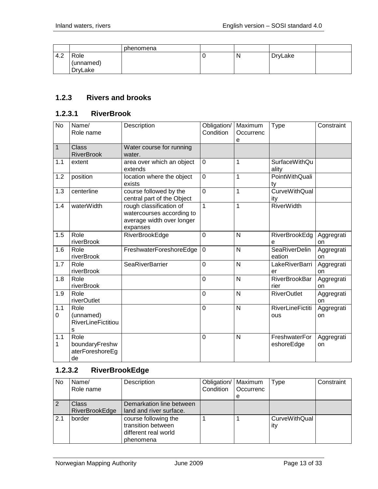|     |                | phenomena |   |         |  |
|-----|----------------|-----------|---|---------|--|
| 4.2 | Role           |           | N | DryLake |  |
|     | (unnamed)      |           |   |         |  |
|     | <b>DryLake</b> |           |   |         |  |

#### <span id="page-12-0"></span>**1.2.3 Rivers and brooks**

#### <span id="page-12-1"></span>**1.2.3.1 RiverBrook**

| <b>No</b>    | Name/<br>Role name                                  | Description                                                                                   | Obligation/<br>Condition | Maximum<br>Occurrenc<br>e | Type                           | Constraint       |
|--------------|-----------------------------------------------------|-----------------------------------------------------------------------------------------------|--------------------------|---------------------------|--------------------------------|------------------|
| $\mathbf{1}$ | <b>Class</b><br><b>RiverBrook</b>                   | Water course for running<br>water.                                                            |                          |                           |                                |                  |
| 1.1          | extent                                              | area over which an object<br>extends                                                          | $\overline{0}$           | 1                         | <b>SurfaceWithQu</b><br>ality  |                  |
| 1.2          | position                                            | location where the object<br>exists                                                           | $\overline{0}$           | 1                         | PointWithQuali<br>ty           |                  |
| 1.3          | centerline                                          | course followed by the<br>central part of the Object                                          | $\overline{0}$           | 1                         | <b>CurveWithQual</b><br>ity    |                  |
| 1.4          | waterWidth                                          | rough classification of<br>watercourses according to<br>average width over longer<br>expanses | $\mathbf{1}$             | $\overline{1}$            | <b>RiverWidth</b>              |                  |
| 1.5          | Role<br>riverBrook                                  | RiverBrookEdge                                                                                | $\overline{0}$           | N                         | RiverBrookEdg<br>е             | Aggregrati<br>on |
| 1.6          | Role<br>riverBrook                                  | FreshwaterForeshoreEdge                                                                       | $\overline{0}$           | N                         | <b>SeaRiverDelin</b><br>eation | Aggregrati<br>on |
| 1.7          | Role<br>riverBrook                                  | <b>SeaRiverBarrier</b>                                                                        | $\overline{0}$           | N                         | <b>LakeRiverBarri</b><br>er    | Aggregrati<br>on |
| 1.8          | Role<br>riverBrook                                  |                                                                                               | $\overline{0}$           | N                         | <b>RiverBrookBar</b><br>rier   | Aggregrati<br>on |
| 1.9          | Role<br>riverOutlet                                 |                                                                                               | $\overline{0}$           | N                         | <b>RiverOutlet</b>             | Aggregrati<br>on |
| 1.1<br>0     | Role<br>(unnamed)<br><b>RiverLineFictitiou</b><br>s |                                                                                               | $\overline{0}$           | N                         | <b>RiverLineFictiti</b><br>ous | Aggregrati<br>on |
| 1.1<br>1     | Role<br>boundaryFreshw<br>aterForeshoreEg<br>de     |                                                                                               | $\overline{0}$           | N                         | FreshwaterFor<br>eshoreEdge    | Aggregrati<br>on |

#### <span id="page-12-2"></span>**1.2.3.2 RiverBrookEdge**

| <b>No</b> | Name/<br>Role name                    | Description                                                                     | Obligation/   Maximum<br>Condition | Occurrenc<br>е | Type                        | Constraint |
|-----------|---------------------------------------|---------------------------------------------------------------------------------|------------------------------------|----------------|-----------------------------|------------|
|           | <b>Class</b><br><b>RiverBrookEdge</b> | Demarkation line between<br>land and river surface.                             |                                    |                |                             |            |
| 2.1       | border                                | course following the<br>transition between<br>different real world<br>phenomena |                                    |                | <b>CurveWithQual</b><br>ity |            |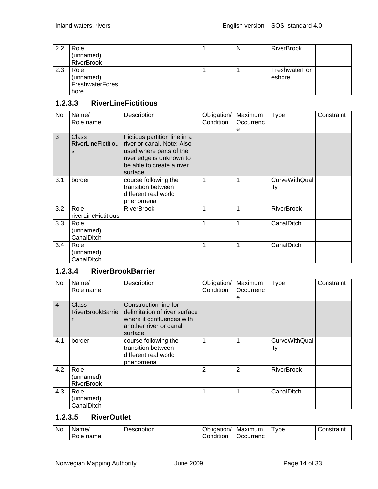| 2.2 | Role<br>(unnamed)<br><b>RiverBrook</b>              |  | N | <b>RiverBrook</b>       |
|-----|-----------------------------------------------------|--|---|-------------------------|
| 2.3 | Role<br>(unnamed)<br><b>FreshwaterFores</b><br>hore |  |   | FreshwaterFor<br>eshore |

#### <span id="page-13-0"></span>**1.2.3.3 RiverLineFictitious**

| No  | Name/<br>Role name               | Description                                                                                                                                                | Obligation/<br>Condition | Maximum<br>Occurrenc<br>е | <b>Type</b>                 | Constraint |
|-----|----------------------------------|------------------------------------------------------------------------------------------------------------------------------------------------------------|--------------------------|---------------------------|-----------------------------|------------|
| 3   | Class<br>RiverLineFictitiou<br>s | Fictious partition line in a<br>river or canal. Note: Also<br>used where parts of the<br>river edge is unknown to<br>be able to create a river<br>surface. |                          |                           |                             |            |
| 3.1 | border                           | course following the<br>transition between<br>different real world<br>phenomena                                                                            | 1                        | 1                         | <b>CurveWithQual</b><br>ity |            |
| 3.2 | Role<br>riverLineFictitious      | <b>RiverBrook</b>                                                                                                                                          | 1                        | 1                         | <b>RiverBrook</b>           |            |
| 3.3 | Role<br>(unnamed)<br>CanalDitch  |                                                                                                                                                            | 1                        | 1                         | CanalDitch                  |            |
| 3.4 | Role<br>(unnamed)<br>CanalDitch  |                                                                                                                                                            | 1                        | 1                         | CanalDitch                  |            |

#### <span id="page-13-1"></span>**1.2.3.4 RiverBrookBarrier**

| <b>No</b>      | Name/<br>Role name      | Description                   | Obligation/<br>Condition | Maximum<br>Occurrenc | Type                 | Constraint |
|----------------|-------------------------|-------------------------------|--------------------------|----------------------|----------------------|------------|
|                |                         |                               |                          | е                    |                      |            |
| $\overline{4}$ | <b>Class</b>            | Construction line for         |                          |                      |                      |            |
|                | <b>RiverBrookBarrie</b> | delimitation of river surface |                          |                      |                      |            |
|                |                         | where it confluences with     |                          |                      |                      |            |
|                |                         | another river or canal        |                          |                      |                      |            |
|                |                         | surface.                      |                          |                      |                      |            |
| 4.1            | border                  | course following the          |                          |                      | <b>CurveWithQual</b> |            |
|                |                         | transition between            |                          |                      | ity                  |            |
|                |                         | different real world          |                          |                      |                      |            |
|                |                         | phenomena                     |                          |                      |                      |            |
| 4.2            | Role                    |                               | 2                        | $\overline{2}$       | <b>RiverBrook</b>    |            |
|                | (unnamed)               |                               |                          |                      |                      |            |
|                | <b>RiverBrook</b>       |                               |                          |                      |                      |            |
| 4.3            | Role                    |                               |                          |                      | CanalDitch           |            |
|                | (unnamed)               |                               |                          |                      |                      |            |
|                | CanalDitch              |                               |                          |                      |                      |            |

#### <span id="page-13-2"></span>**1.2.3.5 RiverOutlet**

| <b>No</b> | lame,<br>-<br>name<br>Role | $   -$<br>----<br>Description | . .<br>Jbligation/<br>.<br>Condition | Maximum<br>Jccurrenc | vpe | `onetroint_<br>nsuaini |
|-----------|----------------------------|-------------------------------|--------------------------------------|----------------------|-----|------------------------|
|-----------|----------------------------|-------------------------------|--------------------------------------|----------------------|-----|------------------------|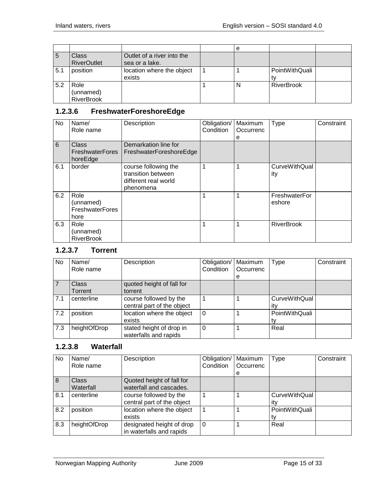|     |                                        |                                              | е |                   |  |
|-----|----------------------------------------|----------------------------------------------|---|-------------------|--|
| 5   | <b>Class</b><br><b>RiverOutlet</b>     | Outlet of a river into the<br>sea or a lake. |   |                   |  |
| 5.1 | position                               | location where the object<br>exists          |   | PointWithQuali    |  |
| 5.2 | Role<br>(unnamed)<br><b>RiverBrook</b> |                                              | N | <b>RiverBrook</b> |  |

# <span id="page-14-0"></span>**1.2.3.6 FreshwaterForeshoreEdge**

| No  | Name/<br>Role name                                  | Description                                                                     | Obligation/<br>Condition | Maximum<br>Occurrenc<br>е | Type                        | Constraint |
|-----|-----------------------------------------------------|---------------------------------------------------------------------------------|--------------------------|---------------------------|-----------------------------|------------|
| 6   | Class<br><b>FreshwaterFores</b><br>horeEdge         | Demarkation line for<br>FreshwaterForeshoreEdge                                 |                          |                           |                             |            |
| 6.1 | border                                              | course following the<br>transition between<br>different real world<br>phenomena |                          |                           | <b>CurveWithQual</b><br>ity |            |
| 6.2 | Role<br>(unnamed)<br><b>FreshwaterFores</b><br>hore |                                                                                 | 1                        |                           | FreshwaterFor<br>eshore     |            |
| 6.3 | Role<br>(unnamed)<br><b>RiverBrook</b>              |                                                                                 |                          |                           | <b>RiverBrook</b>           |            |

#### <span id="page-14-1"></span>**1.2.3.7 Torrent**

| <b>No</b> | Name/        | Description                | Obligation/ | Maximum   | Type                 | Constraint |
|-----------|--------------|----------------------------|-------------|-----------|----------------------|------------|
|           | Role name    |                            | Condition   | Occurrenc |                      |            |
|           |              |                            |             | e         |                      |            |
|           | <b>Class</b> | quoted height of fall for  |             |           |                      |            |
|           | Torrent      | torrent                    |             |           |                      |            |
| 7.1       | centerline   | course followed by the     |             |           | <b>CurveWithQual</b> |            |
|           |              | central part of the object |             |           | itv                  |            |
| 7.2       | position     | location where the object  | 0           |           | PointWithQuali       |            |
|           |              | exists                     |             |           |                      |            |
| 7.3       | heightOfDrop | stated height of drop in   | 0           |           | Real                 |            |
|           |              | waterfalls and rapids      |             |           |                      |            |

#### <span id="page-14-2"></span>**1.2.3.8 Waterfall**

| No. | Name/<br>Role name | Description                                           | Obligation/<br>Condition | Maximum<br>Occurrenc<br>e | <b>Type</b>                 | Constraint |
|-----|--------------------|-------------------------------------------------------|--------------------------|---------------------------|-----------------------------|------------|
| 8   | Class<br>Waterfall | Quoted height of fall for<br>waterfall and cascades.  |                          |                           |                             |            |
| 8.1 | centerline         | course followed by the<br>central part of the object  |                          |                           | <b>CurveWithQual</b><br>itv |            |
| 8.2 | position           | location where the object<br>exists                   |                          |                           | PointWithQuali<br>tv        |            |
| 8.3 | heightOfDrop       | designated height of drop<br>in waterfalls and rapids | $\Omega$                 |                           | Real                        |            |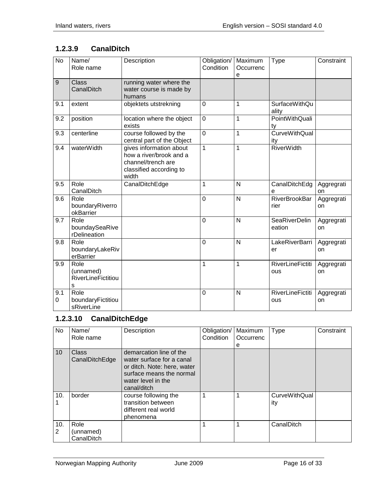## <span id="page-15-0"></span>**1.2.3.9 CanalDitch**

| <b>No</b>   | Name/<br>Role name                                  | Description                                                                                                  | Obligation/<br>Condition | Maximum<br>Occurrenc<br>e | <b>Type</b>                    | Constraint       |
|-------------|-----------------------------------------------------|--------------------------------------------------------------------------------------------------------------|--------------------------|---------------------------|--------------------------------|------------------|
| $\mathsf g$ | <b>Class</b><br>CanalDitch                          | running water where the<br>water course is made by<br>humans                                                 |                          |                           |                                |                  |
| 9.1         | extent                                              | objektets utstrekning                                                                                        | 0                        | 1                         | <b>SurfaceWithQu</b><br>ality  |                  |
| 9.2         | position                                            | location where the object<br>exists                                                                          | $\mathbf 0$              | 1                         | PointWithQuali<br>ty           |                  |
| 9.3         | centerline                                          | course followed by the<br>central part of the Object                                                         | $\mathbf 0$              | 1                         | <b>CurveWithQual</b><br>ity    |                  |
| 9.4         | waterWidth                                          | gives information about<br>how a river/brook and a<br>channel/trench are<br>classified according to<br>width | $\mathbf{1}$             | $\mathbf{1}$              | <b>RiverWidth</b>              |                  |
| 9.5         | Role<br>CanalDitch                                  | CanalDitchEdge                                                                                               | 1                        | N                         | CanalDitchEdg<br>e             | Aggregrati<br>on |
| 9.6         | Role<br>boundaryRiverro<br>okBarrier                |                                                                                                              | $\overline{0}$           | $\mathsf{N}$              | <b>RiverBrookBar</b><br>rier   | Aggregrati<br>on |
| 9.7         | Role<br>boundaySeaRive<br>rDelineation              |                                                                                                              | $\overline{0}$           | $\mathsf{N}$              | <b>SeaRiverDelin</b><br>eation | Aggregrati<br>on |
| 9.8         | Role<br>boundaryLakeRiv<br>erBarrier                |                                                                                                              | $\overline{0}$           | N                         | LakeRiverBarri<br>er           | Aggregrati<br>on |
| 9.9         | Role<br>(unnamed)<br><b>RiverLineFictitiou</b><br>S |                                                                                                              | 1                        | 1                         | <b>RiverLineFictiti</b><br>ous | Aggregrati<br>on |
| 9.1<br>0    | Role<br>boundaryFictitiou<br>sRiverLine             |                                                                                                              | 0                        | N                         | <b>RiverLineFictiti</b><br>ous | Aggregrati<br>on |

# <span id="page-15-1"></span>**1.2.3.10 CanalDitchEdge**

| <b>No</b>       | Name/                           | Description                                                                                                                                          | Obligation/ | Maximum   | Type                        | Constraint |
|-----------------|---------------------------------|------------------------------------------------------------------------------------------------------------------------------------------------------|-------------|-----------|-----------------------------|------------|
|                 | Role name                       |                                                                                                                                                      | Condition   | Occurrenc |                             |            |
|                 |                                 |                                                                                                                                                      |             | е         |                             |            |
| 10 <sup>1</sup> | <b>Class</b><br>CanalDitchEdge  | demarcation line of the<br>water surface for a canal<br>or ditch. Note: here, water<br>surface means the normal<br>water level in the<br>canal/ditch |             |           |                             |            |
| 10.             | border                          | course following the<br>transition between<br>different real world<br>phenomena                                                                      |             |           | <b>CurveWithQual</b><br>ity |            |
| 10.<br>2        | Role<br>(unnamed)<br>CanalDitch |                                                                                                                                                      |             |           | CanalDitch                  |            |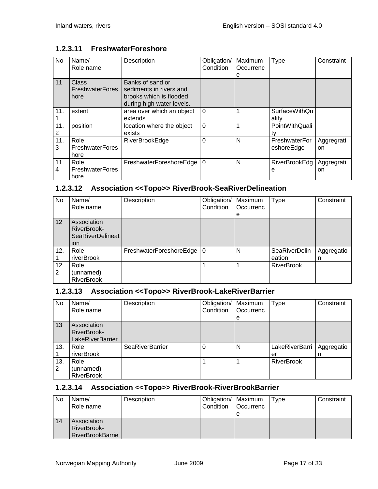| No       | Name/<br>Role name                      | Description                                                                                         | Obligation/<br>Condition | Maximum<br>Occurrenc<br>е | Type                          | Constraint       |
|----------|-----------------------------------------|-----------------------------------------------------------------------------------------------------|--------------------------|---------------------------|-------------------------------|------------------|
| 11       | Class<br><b>FreshwaterFores</b><br>hore | Banks of sand or<br>sediments in rivers and<br>brooks which is flooded<br>during high water levels. |                          |                           |                               |                  |
| 11.      | extent                                  | area over which an object<br>extends                                                                | $\Omega$                 | 1                         | <b>SurfaceWithQu</b><br>ality |                  |
| 11.<br>2 | position                                | location where the object<br>exists                                                                 | $\mathbf 0$              | 1                         | PointWithQuali<br>tv          |                  |
| 11.<br>3 | Role<br><b>FreshwaterFores</b><br>hore  | <b>RiverBrookEdge</b>                                                                               | $\Omega$                 | N                         | FreshwaterFor<br>eshoreEdge   | Aggregrati<br>on |
| 11.<br>4 | Role<br><b>FreshwaterFores</b><br>hore  | FreshwaterForeshoreEdge                                                                             | $\Omega$                 | N                         | <b>RiverBrookEdg</b><br>e     | Aggregrati<br>on |

#### <span id="page-16-0"></span>**1.2.3.11 FreshwaterForeshore**

#### <span id="page-16-1"></span>**1.2.3.12 Association <<Topo>> RiverBrook-SeaRiverDelineation**

| No.      | Name/<br>Role name                                           | Description                 | Obligation/<br>Condition | Maximum<br>Occurrenc<br>е | <b>Type</b>             | Constraint      |
|----------|--------------------------------------------------------------|-----------------------------|--------------------------|---------------------------|-------------------------|-----------------|
| 12       | Association<br>RiverBrook-<br><b>SeaRiverDelineat</b><br>ion |                             |                          |                           |                         |                 |
| 12.      | Role<br>riverBrook                                           | FreshwaterForeshoreEdge   0 |                          | N                         | SeaRiverDelin<br>eation | Aggregatio<br>n |
| 12.<br>2 | Role<br>(unnamed)<br><b>RiverBrook</b>                       |                             |                          |                           | <b>RiverBrook</b>       |                 |

#### <span id="page-16-2"></span>**1.2.3.13 Association <<Topo>> RiverBrook-LakeRiverBarrier**

| No.      | Name/<br>Role name                             | Description            | Obligation/<br>Condition | Maximum<br>Occurrenc<br>е | Type                 | Constraint      |
|----------|------------------------------------------------|------------------------|--------------------------|---------------------------|----------------------|-----------------|
| 13       | Association<br>RiverBrook-<br>LakeRiverBarrier |                        |                          |                           |                      |                 |
| 13.      | Role<br>riverBrook                             | <b>SeaRiverBarrier</b> |                          | N                         | LakeRiverBarri<br>er | Aggregatio<br>n |
| 13.<br>2 | Role<br>(unnamed)<br><b>RiverBrook</b>         |                        |                          |                           | <b>RiverBrook</b>    |                 |

#### <span id="page-16-3"></span>**1.2.3.14 Association <<Topo>> RiverBrook-RiverBrookBarrier**

| No | Name/<br>Role name                                           | Description | Obligation/   Maximum<br>Condition | <b>Occurrenc</b><br>е | Type | Constraint |
|----|--------------------------------------------------------------|-------------|------------------------------------|-----------------------|------|------------|
| 14 | Association<br><b>RiverBrook-</b><br><b>RiverBrookBarrie</b> |             |                                    |                       |      |            |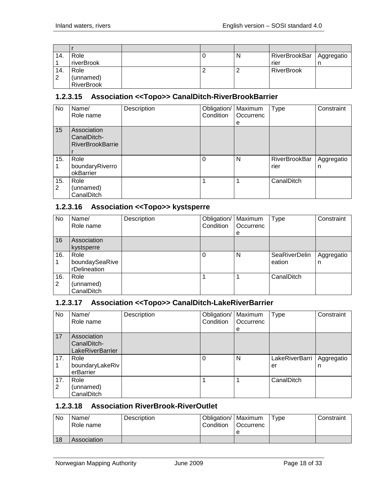| 14. | Role              |  | N | RiverBrookBar   Aggregatio |  |
|-----|-------------------|--|---|----------------------------|--|
|     | riverBrook        |  |   | rier                       |  |
| 14. | Role              |  |   | <b>RiverBrook</b>          |  |
| 2   | (unnamed)         |  |   |                            |  |
|     | <b>RiverBrook</b> |  |   |                            |  |

#### <span id="page-17-0"></span>**1.2.3.15 Association <<Topo>> CanalDitch-RiverBrookBarrier**

| No       | Name/<br>Role name                                    | Description | Obligation/<br>Condition | Maximum<br>Occurrenc<br>е | Type                         | Constraint      |
|----------|-------------------------------------------------------|-------------|--------------------------|---------------------------|------------------------------|-----------------|
| 15       | Association<br>CanalDitch-<br><b>RiverBrookBarrie</b> |             |                          |                           |                              |                 |
| 15.      | Role<br>boundaryRiverro<br>okBarrier                  |             | 0                        | N                         | <b>RiverBrookBar</b><br>rier | Aggregatio<br>n |
| 15.<br>2 | Role<br>(unnamed)<br>CanalDitch                       |             |                          |                           | CanalDitch                   |                 |

#### <span id="page-17-1"></span>**1.2.3.16 Association <<Topo>> kystsperre**

| No       | Name/<br>Role name                     | Description | Obligation/   Maximum<br>Condition | Occurrenc<br>е | Type                    | Constraint      |
|----------|----------------------------------------|-------------|------------------------------------|----------------|-------------------------|-----------------|
| 16       | Association<br>kystsperre              |             |                                    |                |                         |                 |
| 16.      | Role<br>boundaySeaRive<br>rDelineation |             |                                    | N              | SeaRiverDelin<br>eation | Aggregatio<br>n |
| 16.<br>2 | Role<br>(unnamed)<br>CanalDitch        |             |                                    |                | CanalDitch              |                 |

#### <span id="page-17-2"></span>**1.2.3.17 Association <<Topo>> CanalDitch-LakeRiverBarrier**

| No  | Name/                   | Description | Obligation/ | Maximum   | Type           | Constraint |
|-----|-------------------------|-------------|-------------|-----------|----------------|------------|
|     | Role name               |             | Condition   | Occurrenc |                |            |
|     |                         |             |             | e         |                |            |
| 17  | Association             |             |             |           |                |            |
|     | CanalDitch-             |             |             |           |                |            |
|     | <b>LakeRiverBarrier</b> |             |             |           |                |            |
| 17. | Role                    |             | $\Omega$    | N         | LakeRiverBarri | Aggregatio |
|     | boundaryLakeRiv         |             |             |           | er             | n          |
|     | erBarrier               |             |             |           |                |            |
| 17. | Role                    |             |             |           | CanalDitch     |            |
| 2   | (unnamed)               |             |             |           |                |            |
|     | CanalDitch              |             |             |           |                |            |

#### <span id="page-17-3"></span>**1.2.3.18 Association RiverBrook-RiverOutlet**

| No | Name/<br>Role name | <b>Description</b> | Obligation/   Maximum<br>Condition | <b>Occurrenc</b> | $T$ vpe | Constraint |
|----|--------------------|--------------------|------------------------------------|------------------|---------|------------|
|    |                    |                    |                                    |                  |         |            |
| 18 | Association        |                    |                                    |                  |         |            |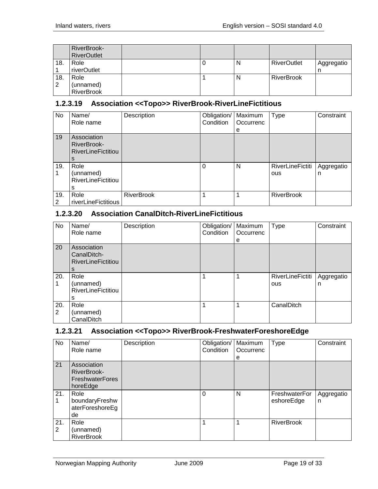|     | RiverBrook-<br><b>RiverOutlet</b> |  |   |                    |            |
|-----|-----------------------------------|--|---|--------------------|------------|
| 18. | Role                              |  | N | <b>RiverOutlet</b> | Aggregatio |
|     | riverOutlet                       |  |   |                    |            |
| 18. | Role                              |  | N | <b>RiverBrook</b>  |            |
| 2   | (unnamed)                         |  |   |                    |            |
|     | <b>RiverBrook</b>                 |  |   |                    |            |

#### <span id="page-18-0"></span>**1.2.3.19 Association <<Topo>> RiverBrook-RiverLineFictitious**

| No. | Name/                     | Description       | Obligation/ | Maximum   | <b>Type</b>             | Constraint |
|-----|---------------------------|-------------------|-------------|-----------|-------------------------|------------|
|     | Role name                 |                   | Condition   | Occurrenc |                         |            |
|     |                           |                   |             | е         |                         |            |
| 19  | Association               |                   |             |           |                         |            |
|     | <b>RiverBrook-</b>        |                   |             |           |                         |            |
|     | <b>RiverLineFictitiou</b> |                   |             |           |                         |            |
|     | s                         |                   |             |           |                         |            |
| 19. | Role                      |                   | $\Omega$    | N         | <b>RiverLineFictiti</b> | Aggregatio |
|     | (unnamed)                 |                   |             |           | ous                     | n          |
|     | <b>RiverLineFictitiou</b> |                   |             |           |                         |            |
|     | s                         |                   |             |           |                         |            |
| 19. | Role                      | <b>RiverBrook</b> | 1           | 1         | <b>RiverBrook</b>       |            |
| 2   | riverLineFictitious       |                   |             |           |                         |            |

#### <span id="page-18-1"></span>**1.2.3.20 Association CanalDitch-RiverLineFictitious**

| No       | Name/<br>Role name                                      | Description | Obligation/<br>Condition | Maximum<br>Occurrenc<br>e | <b>Type</b>                    | Constraint      |
|----------|---------------------------------------------------------|-------------|--------------------------|---------------------------|--------------------------------|-----------------|
| 20       | Association<br>CanalDitch-<br><b>RiverLineFictitiou</b> |             |                          |                           |                                |                 |
| 20.      | Role<br>(unnamed)<br><b>RiverLineFictitiou</b><br>s     |             |                          |                           | <b>RiverLineFictiti</b><br>ous | Aggregatio<br>n |
| 20.<br>2 | Role<br>(unnamed)<br>CanalDitch                         |             | 1                        | 1                         | CanalDitch                     |                 |

#### <span id="page-18-2"></span>**1.2.3.21 Association <<Topo>> RiverBrook-FreshwaterForeshoreEdge**

| No       | Name/<br>Role name                                               | Description | Obligation/<br>Condition | Maximum<br>Occurrenc<br>e | <b>Type</b>                 | Constraint      |
|----------|------------------------------------------------------------------|-------------|--------------------------|---------------------------|-----------------------------|-----------------|
| 21       | Association<br>RiverBrook-<br><b>FreshwaterFores</b><br>horeEdge |             |                          |                           |                             |                 |
| 21.      | Role<br>boundaryFreshw<br>aterForeshoreEg<br>de                  |             | $\Omega$                 | N                         | FreshwaterFor<br>eshoreEdge | Aggregatio<br>n |
| 21.<br>2 | Role<br>(unnamed)<br><b>RiverBrook</b>                           |             |                          | 1                         | <b>RiverBrook</b>           |                 |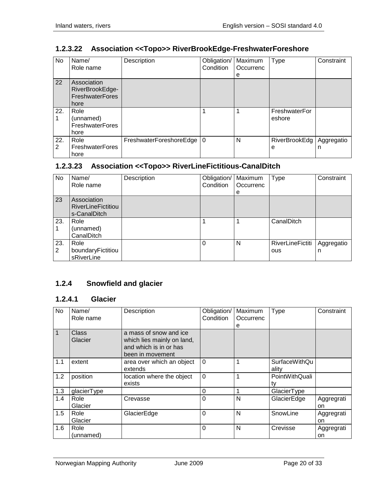#### <span id="page-19-0"></span>**1.2.3.22 Association <<Topo>> RiverBrookEdge-FreshwaterForeshore**

| No.      | Name/<br>Role name                                               | Description                 | Obligation/<br>Condition | Maximum<br>Occurrenc<br>е | <b>Type</b>               | Constraint      |
|----------|------------------------------------------------------------------|-----------------------------|--------------------------|---------------------------|---------------------------|-----------------|
| 22       | Association<br>RiverBrookEdge-<br><b>FreshwaterFores</b><br>hore |                             |                          |                           |                           |                 |
| 22.      | Role<br>(unnamed)<br><b>FreshwaterFores</b><br>hore              |                             |                          |                           | FreshwaterFor<br>eshore   |                 |
| 22.<br>2 | Role<br><b>FreshwaterFores</b><br>hore                           | FreshwaterForeshoreEdge   0 |                          | N                         | <b>RiverBrookEdg</b><br>е | Aggregatio<br>n |

#### <span id="page-19-1"></span>**1.2.3.23 Association <<Topo>> RiverLineFictitious-CanalDitch**

| No.                   | Name/<br>Role name                                       | Description | Obligation/<br>Condition | Maximum<br>Occurrenc<br>е | <b>Type</b>             | Constraint      |
|-----------------------|----------------------------------------------------------|-------------|--------------------------|---------------------------|-------------------------|-----------------|
| 23                    | Association<br><b>RiverLineFictitiou</b><br>s-CanalDitch |             |                          |                           |                         |                 |
| 23.                   | Role<br>(unnamed)<br>CanalDitch                          |             |                          |                           | CanalDitch              |                 |
| 23.<br>$\overline{2}$ | Role<br>boundaryFictitiou<br>sRiverLine                  |             | 0                        | N                         | RiverLineFictiti<br>ous | Aggregatio<br>n |

# <span id="page-19-2"></span>**1.2.4 Snowfield and glacier**

#### <span id="page-19-3"></span>**1.2.4.1 Glacier**

| <b>No</b>    | Name/<br>Role name      | Description                                                                                        | Obligation/<br>Condition | Maximum<br>Occurrenc<br>е | Type                          | Constraint       |
|--------------|-------------------------|----------------------------------------------------------------------------------------------------|--------------------------|---------------------------|-------------------------------|------------------|
| $\mathbf{1}$ | <b>Class</b><br>Glacier | a mass of snow and ice<br>which lies mainly on land,<br>and which is in or has<br>been in movement |                          |                           |                               |                  |
| 1.1          | extent                  | area over which an object<br>extends                                                               | $\Omega$                 |                           | <b>SurfaceWithQu</b><br>ality |                  |
| 1.2          | position                | location where the object<br>exists                                                                | $\mathbf 0$              |                           | PointWithQuali<br>tv          |                  |
| 1.3          | glacierType             |                                                                                                    | $\Omega$                 |                           | GlacierType                   |                  |
| 1.4          | Role<br>Glacier         | Crevasse                                                                                           | $\Omega$                 | N                         | GlacierEdge                   | Aggregrati<br>on |
| 1.5          | Role<br>Glacier         | GlacierEdge                                                                                        | $\Omega$                 | N                         | SnowLine                      | Aggregrati<br>on |
| 1.6          | Role<br>(unnamed)       |                                                                                                    | 0                        | N                         | Crevisse                      | Aggregrati<br>on |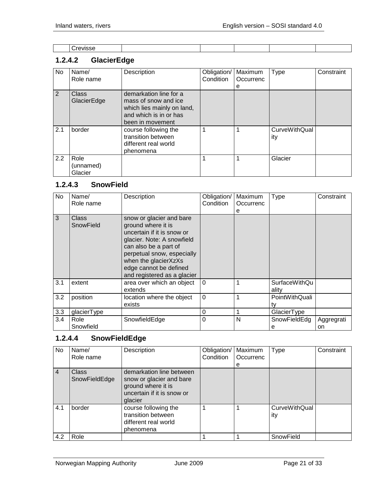| ____ |  |  |  |  |
|------|--|--|--|--|
|      |  |  |  |  |

# <span id="page-20-0"></span>**1.2.4.2 GlacierEdge**

| No. | Name/<br>Role name           | Description                                                                                                                | Obligation/<br>Condition | Maximum<br>Occurrenc<br>е | <b>Type</b>                 | Constraint |
|-----|------------------------------|----------------------------------------------------------------------------------------------------------------------------|--------------------------|---------------------------|-----------------------------|------------|
| 2   | Class<br>GlacierEdge         | demarkation line for a<br>mass of snow and ice<br>which lies mainly on land,<br>and which is in or has<br>been in movement |                          |                           |                             |            |
| 2.1 | border                       | course following the<br>transition between<br>different real world<br>phenomena                                            |                          |                           | <b>CurveWithQual</b><br>ity |            |
| 2.2 | Role<br>(unnamed)<br>Glacier |                                                                                                                            |                          |                           | Glacier                     |            |

#### <span id="page-20-1"></span>**1.2.4.3 SnowField**

| No  | Name/<br>Role name | Description                                                                                                                                                                                                                                        | Obligation/<br>Condition | Maximum<br>Occurrenc<br>е | <b>Type</b>                   | Constraint       |
|-----|--------------------|----------------------------------------------------------------------------------------------------------------------------------------------------------------------------------------------------------------------------------------------------|--------------------------|---------------------------|-------------------------------|------------------|
| 3   | Class<br>SnowField | snow or glacier and bare<br>ground where it is<br>uncertain if it is snow or<br>glacier. Note: A snowfield<br>can also be a part of<br>perpetual snow, especially<br>when the glacierXzXs<br>edge cannot be defined<br>and registered as a glacier |                          |                           |                               |                  |
| 3.1 | extent             | area over which an object<br>extends                                                                                                                                                                                                               | $\Omega$                 |                           | <b>SurfaceWithQu</b><br>ality |                  |
| 3.2 | position           | location where the object<br>exists                                                                                                                                                                                                                | $\Omega$                 |                           | PointWithQuali<br>tv          |                  |
| 3.3 | glacierType        |                                                                                                                                                                                                                                                    | 0                        |                           | GlacierType                   |                  |
| 3.4 | Role<br>Snowfield  | SnowfieldEdge                                                                                                                                                                                                                                      | 0                        | N                         | SnowFieldEdg<br>е             | Aggregrati<br>on |

# <span id="page-20-2"></span>**1.2.4.4 SnowFieldEdge**

| No             | Name/<br>Role name            | Description                                                                                                         | Obligation/<br>Condition | Maximum<br>Occurrenc | <b>Type</b>                 | Constraint |
|----------------|-------------------------------|---------------------------------------------------------------------------------------------------------------------|--------------------------|----------------------|-----------------------------|------------|
|                |                               |                                                                                                                     |                          | е                    |                             |            |
| $\overline{4}$ | <b>Class</b><br>SnowFieldEdge | demarkation line between<br>snow or glacier and bare<br>ground where it is<br>uncertain if it is snow or<br>glacier |                          |                      |                             |            |
| 4.1            | border                        | course following the<br>transition between<br>different real world<br>phenomena                                     |                          |                      | <b>CurveWithQual</b><br>ity |            |
| 4.2            | Role                          |                                                                                                                     |                          |                      | SnowField                   |            |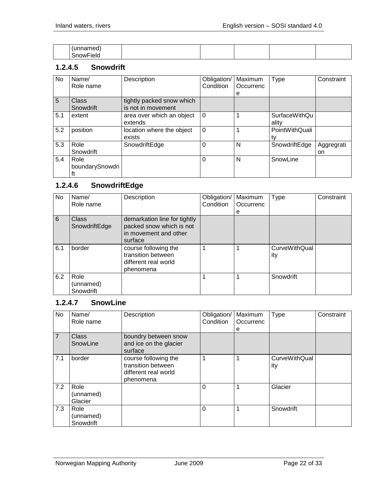| . |  |  |  |
|---|--|--|--|

#### <span id="page-21-0"></span>**1.2.4.5 Snowdrift**

| No  | Name/<br>Role name            | Description                                     | Obligation/<br>Condition | Maximum<br>Occurrenc | Type                          | Constraint       |
|-----|-------------------------------|-------------------------------------------------|--------------------------|----------------------|-------------------------------|------------------|
| 5   | Class<br>Snowdrift            | tightly packed snow which<br>is not in movement |                          | е                    |                               |                  |
| 5.1 | extent                        | area over which an object<br>extends            | $\Omega$                 |                      | <b>SurfaceWithQu</b><br>ality |                  |
| 5.2 | position                      | location where the object<br>exists             | $\Omega$                 |                      | PointWithQuali<br>tv          |                  |
| 5.3 | Role<br>Snowdrift             | SnowdriftEdge                                   | 0                        | N                    | SnowdriftEdge                 | Aggregrati<br>on |
| 5.4 | Role<br>boundarySnowdri<br>ft |                                                 | 0                        | N                    | SnowLine                      |                  |

#### <span id="page-21-1"></span>**1.2.4.6 SnowdriftEdge**

| No  | Name/<br>Role name             | Description                                                                                  | Obligation/<br>Condition | Maximum<br>Occurrenc<br>е | <b>Type</b>                 | Constraint |
|-----|--------------------------------|----------------------------------------------------------------------------------------------|--------------------------|---------------------------|-----------------------------|------------|
| 6   | Class<br>SnowdriftEdge         | demarkation line for tightly<br>packed snow which is not<br>in movement and other<br>surface |                          |                           |                             |            |
| 6.1 | border                         | course following the<br>transition between<br>different real world<br>phenomena              |                          |                           | <b>CurveWithQual</b><br>ity |            |
| 6.2 | Role<br>(unnamed)<br>Snowdrift |                                                                                              |                          |                           | Snowdrift                   |            |

#### <span id="page-21-2"></span>**1.2.4.7 SnowLine**

| No             | Name/<br>Role name             | Description                                                                     | Obligation/<br>Condition | Maximum<br>Occurrenc<br>е | Type                        | Constraint |
|----------------|--------------------------------|---------------------------------------------------------------------------------|--------------------------|---------------------------|-----------------------------|------------|
| $\overline{7}$ | <b>Class</b><br>SnowLine       | boundry between snow<br>and ice on the glacier<br>surface                       |                          |                           |                             |            |
| 7.1            | border                         | course following the<br>transition between<br>different real world<br>phenomena |                          |                           | <b>CurveWithQual</b><br>ity |            |
| 7.2            | Role<br>(unnamed)<br>Glacier   |                                                                                 | 0                        |                           | Glacier                     |            |
| 7.3            | Role<br>(unnamed)<br>Snowdrift |                                                                                 | $\Omega$                 |                           | Snowdrift                   |            |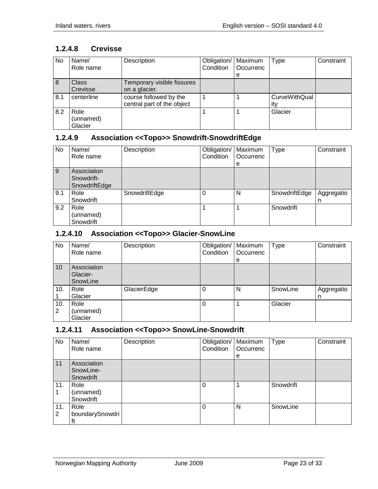#### <span id="page-22-0"></span>**1.2.4.8 Crevisse**

| No. | Name/<br>Role name           | Description                                          | Obligation/   Maximum<br>Condition | Occurrenc | <b>Type</b>          | Constraint |
|-----|------------------------------|------------------------------------------------------|------------------------------------|-----------|----------------------|------------|
|     |                              |                                                      |                                    | е         |                      |            |
| 8   | <b>Class</b><br>Crevisse     | Temporary visible fissures<br>on a glacier.          |                                    |           |                      |            |
| 8.1 | centerline                   | course followed by the<br>central part of the object |                                    |           | CurveWithQual<br>itv |            |
| 8.2 | Role<br>(unnamed)<br>Glacier |                                                      |                                    |           | Glacier              |            |

# <span id="page-22-1"></span>**1.2.4.9 Association <<Topo>> Snowdrift-SnowdriftEdge**

| No  | Name/<br>Role name                         | Description   | Obligation/<br>Condition | Maximum<br>Occurrenc<br>е | <b>Type</b>   | Constraint      |
|-----|--------------------------------------------|---------------|--------------------------|---------------------------|---------------|-----------------|
| 9   | Association<br>Snowdrift-<br>SnowdriftEdge |               |                          |                           |               |                 |
| 9.1 | Role<br>Snowdrift                          | SnowdriftEdge |                          | N                         | SnowdriftEdge | Aggregatio<br>n |
| 9.2 | Role<br>(unnamed)<br>Snowdrift             |               |                          |                           | Snowdrift     |                 |

#### <span id="page-22-2"></span>**1.2.4.10 Association <<Topo>> Glacier-SnowLine**

| No       | Name/<br>Role name                  | Description | Obligation/<br>Condition | Maximum<br>Occurrenc<br>е | <b>Type</b> | Constraint      |
|----------|-------------------------------------|-------------|--------------------------|---------------------------|-------------|-----------------|
| 10       | Association<br>Glacier-<br>SnowLine |             |                          |                           |             |                 |
| 10.      | Role<br>Glacier                     | GlacierEdge | 0                        | N                         | SnowLine    | Aggregatio<br>n |
| 10.<br>2 | Role<br>(unnamed)<br>Glacier        |             | 0                        |                           | Glacier     |                 |

#### <span id="page-22-3"></span>**1.2.4.11 Association <<Topo>> SnowLine-Snowdrift**

| No       | Name/<br>Role name                    | Description | Obligation/<br>Condition | Maximum<br>Occurrenc<br>e | <b>Type</b> | Constraint |
|----------|---------------------------------------|-------------|--------------------------|---------------------------|-------------|------------|
| 11       | Association<br>SnowLine-<br>Snowdrift |             |                          |                           |             |            |
| 11.      | Role<br>(unnamed)<br>Snowdrift        |             | 0                        |                           | Snowdrift   |            |
| 11.<br>2 | Role<br>boundarySnowdri<br>ft         |             | 0                        | N                         | SnowLine    |            |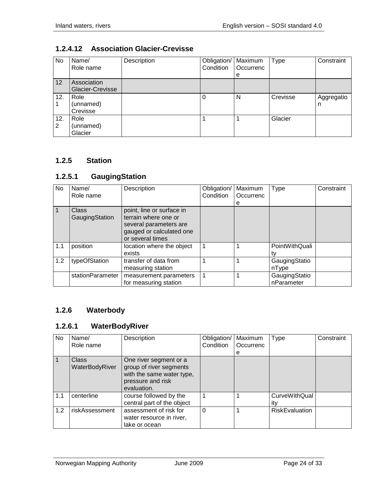#### <span id="page-23-0"></span>**1.2.4.12 Association Glacier-Crevisse**

| No       | Name/<br>Role name              | Description | Obligation/<br>Condition | Maximum<br>Occurrenc<br>e | <b>Type</b> | Constraint      |
|----------|---------------------------------|-------------|--------------------------|---------------------------|-------------|-----------------|
| 12       | Association<br>Glacier-Crevisse |             |                          |                           |             |                 |
| 12.      | Role<br>(unnamed)<br>Crevisse   |             |                          | N                         | Crevisse    | Aggregatio<br>n |
| 12.<br>2 | Role<br>(unnamed)<br>Glacier    |             |                          |                           | Glacier     |                 |

#### <span id="page-23-1"></span>**1.2.5 Station**

#### <span id="page-23-2"></span>**1.2.5.1 GaugingStation**

| No  | Name/<br>Role name      | Description                                                                                                                 | Obligation/<br>Condition | Maximum<br>Occurrenc<br>е | <b>Type</b>                 | Constraint |
|-----|-------------------------|-----------------------------------------------------------------------------------------------------------------------------|--------------------------|---------------------------|-----------------------------|------------|
|     | Class<br>GaugingStation | point, line or surface in<br>terrain where one or<br>several parameters are<br>gauged or calculated one<br>or several times |                          |                           |                             |            |
| 1.1 | position                | location where the object<br>exists                                                                                         |                          |                           | PointWithQuali              |            |
| 1.2 | typeOfStation           | transfer of data from<br>measuring station                                                                                  |                          |                           | GaugingStatio<br>nType      |            |
|     | stationParameter        | measurement parameters<br>for measuring station                                                                             |                          |                           | GaugingStatio<br>nParameter |            |

# <span id="page-23-3"></span>**1.2.6 Waterbody**

#### <span id="page-23-4"></span>**1.2.6.1 WaterBodyRiver**

| No  | Name/<br>Role name             | Description                                                                                                        | Obligation/<br>Condition | Maximum<br>Occurrenc<br>е | <b>Type</b>                 | Constraint |
|-----|--------------------------------|--------------------------------------------------------------------------------------------------------------------|--------------------------|---------------------------|-----------------------------|------------|
|     | <b>Class</b><br>WaterBodyRiver | One river segment or a<br>group of river segments<br>with the same water type,<br>pressure and risk<br>evaluation. |                          |                           |                             |            |
| 1.1 | centerline                     | course followed by the<br>central part of the object                                                               |                          |                           | <b>CurveWithQual</b><br>itv |            |
| 1.2 | riskAssessment                 | assessment of risk for<br>water resource in river,<br>lake or ocean                                                | $\Omega$                 |                           | <b>RiskEvaluation</b>       |            |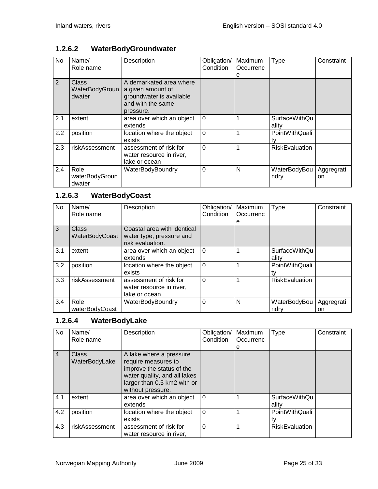## <span id="page-24-0"></span>**1.2.6.2 WaterBodyGroundwater**

| <b>No</b> | Name/<br>Role name                | Description                                                                                                | Obligation/<br>Condition | Maximum<br>Occurrenc<br>е | Type                          | Constraint       |
|-----------|-----------------------------------|------------------------------------------------------------------------------------------------------------|--------------------------|---------------------------|-------------------------------|------------------|
| 2         | Class<br>WaterBodyGroun<br>dwater | A demarkated area where<br>a given amount of<br>groundwater is available<br>and with the same<br>pressure. |                          |                           |                               |                  |
| 2.1       | extent                            | area over which an object<br>extends                                                                       | $\Omega$                 |                           | <b>SurfaceWithQu</b><br>ality |                  |
| 2.2       | position                          | location where the object<br>exists                                                                        | $\mathbf 0$              |                           | PointWithQuali<br>tv          |                  |
| 2.3       | riskAssessment                    | assessment of risk for<br>water resource in river,<br>lake or ocean                                        | $\Omega$                 |                           | <b>RiskEvaluation</b>         |                  |
| 2.4       | Role<br>waterBodyGroun<br>dwater  | WaterBodyBoundry                                                                                           | 0                        | N                         | WaterBodyBou<br>ndry          | Aggregrati<br>on |

#### <span id="page-24-1"></span>**1.2.6.3 WaterBodyCoast**

| No  | Name/<br>Role name      | Description                                                                 | Obligation/<br>Condition | Maximum<br>Occurrenc<br>е | Type                          | Constraint       |
|-----|-------------------------|-----------------------------------------------------------------------------|--------------------------|---------------------------|-------------------------------|------------------|
| 3   | Class<br>WaterBodyCoast | Coastal area with identical<br>water type, pressure and<br>risk evaluation. |                          |                           |                               |                  |
| 3.1 | extent                  | area over which an object<br>extends                                        | $\Omega$                 |                           | <b>SurfaceWithQu</b><br>ality |                  |
| 3.2 | position                | location where the object<br>exists                                         | $\Omega$                 |                           | PointWithQuali                |                  |
| 3.3 | riskAssessment          | assessment of risk for<br>water resource in river,<br>lake or ocean         | $\Omega$                 |                           | <b>RiskEvaluation</b>         |                  |
| 3.4 | Role<br>waterBodyCoast  | WaterBodyBoundry                                                            | 0                        | N                         | WaterBodyBou<br>ndry          | Aggregrati<br>on |

# <span id="page-24-2"></span>**1.2.6.4 WaterBodyLake**

| <b>No</b>      | Name/<br>Role name     | Description                                                                                                                                                     | Obligation/<br>Condition | Maximum<br>Occurrenc<br>е | Type                          | Constraint |
|----------------|------------------------|-----------------------------------------------------------------------------------------------------------------------------------------------------------------|--------------------------|---------------------------|-------------------------------|------------|
| $\overline{4}$ | Class<br>WaterBodyLake | A lake where a pressure<br>require measures to<br>improve the status of the<br>water quality, and all lakes<br>larger than 0.5 km2 with or<br>without pressure. |                          |                           |                               |            |
| 4.1            | extent                 | area over which an object<br>extends                                                                                                                            | $\Omega$                 |                           | <b>SurfaceWithQu</b><br>ality |            |
| 4.2            | position               | location where the object<br>exists                                                                                                                             | $\Omega$                 |                           | PointWithQuali                |            |
| 4.3            | riskAssessment         | assessment of risk for<br>water resource in river,                                                                                                              | $\Omega$                 |                           | <b>RiskEvaluation</b>         |            |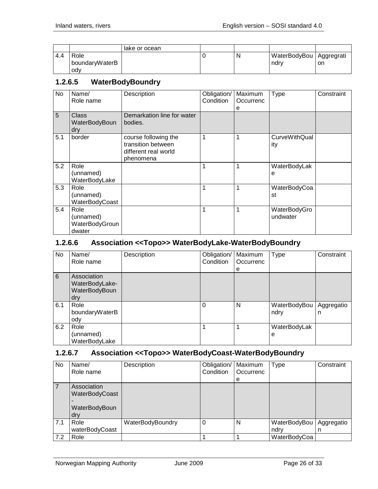|     |                               | lake or ocean |   |                                   |    |
|-----|-------------------------------|---------------|---|-----------------------------------|----|
| 4.4 | Role<br>boundaryWaterB<br>odv |               | N | WaterBodyBou   Aggregrati<br>ndrv | on |

#### <span id="page-25-0"></span>**1.2.6.5 WaterBodyBoundry**

| No  | Name/<br>Role name                            | Description                                                                     | Obligation/<br>Condition | Maximum<br>Occurrenc<br>e | Type                        | Constraint |
|-----|-----------------------------------------------|---------------------------------------------------------------------------------|--------------------------|---------------------------|-----------------------------|------------|
| 5   | Class<br>WaterBodyBoun<br>dry                 | Demarkation line for water<br>bodies.                                           |                          |                           |                             |            |
| 5.1 | border                                        | course following the<br>transition between<br>different real world<br>phenomena | 1                        | 1                         | <b>CurveWithQual</b><br>ity |            |
| 5.2 | Role<br>(unnamed)<br>WaterBodyLake            |                                                                                 | 1                        | 1                         | WaterBodyLak<br>е           |            |
| 5.3 | Role<br>(unnamed)<br>WaterBodyCoast           |                                                                                 | 1                        | 1                         | WaterBodyCoa<br>st          |            |
| 5.4 | Role<br>(unnamed)<br>WaterBodyGroun<br>dwater |                                                                                 | 1                        | 1                         | WaterBodyGro<br>undwater    |            |

#### <span id="page-25-1"></span>**1.2.6.6 Association <<Topo>> WaterBodyLake-WaterBodyBoundry**

| No  | Name/<br>Role name                                    | Description | Obligation/<br>Condition | Maximum<br>Occurrenc<br>е | <b>Type</b>          | Constraint      |
|-----|-------------------------------------------------------|-------------|--------------------------|---------------------------|----------------------|-----------------|
| 6   | Association<br>WaterBodyLake-<br>WaterBodyBoun<br>dry |             |                          |                           |                      |                 |
| 6.1 | Role<br>boundaryWaterB<br>ody                         |             | $\Omega$                 | N                         | WaterBodyBou<br>ndry | Aggregatio<br>n |
| 6.2 | Role<br>(unnamed)<br>WaterBodyLake                    |             |                          | 1                         | WaterBodyLak<br>е    |                 |

#### <span id="page-25-2"></span>**1.2.6.7 Association <<Topo>> WaterBodyCoast-WaterBodyBoundry**

| No  | Name/<br>Role name                                         | Description      | Obligation/<br>Condition | Maximum<br>Occurrenc<br>e | Type                 | Constraint      |
|-----|------------------------------------------------------------|------------------|--------------------------|---------------------------|----------------------|-----------------|
|     | Association<br>WaterBodyCoast<br>-<br>WaterBodyBoun<br>dry |                  |                          |                           |                      |                 |
| 7.1 | Role<br>waterBodyCoast                                     | WaterBodyBoundry |                          | N                         | WaterBodyBou<br>ndrv | Aggregatio<br>n |
| 7.2 | Role                                                       |                  |                          |                           | WaterBodyCoa         |                 |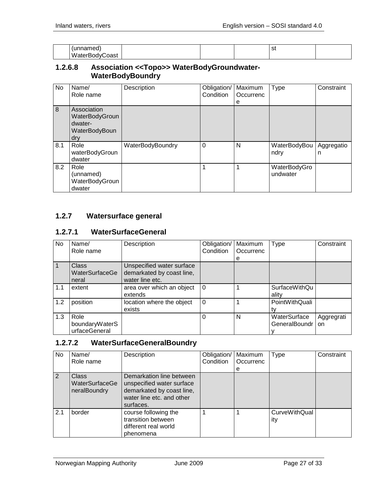| шео<br>______      |  | $\overline{\phantom{a}}$<br>১৷<br>$-$ |  |
|--------------------|--|---------------------------------------|--|
| W۰<br>oast<br>∩dvl |  |                                       |  |

#### <span id="page-26-0"></span>**1.2.6.8 Association <<Topo>> WaterBodyGroundwater-WaterBodyBoundry**

| No             | Name/<br>Role name                                               | Description      | Obligation/<br>Condition | Maximum<br>Occurrenc<br>е | <b>Type</b>              | Constraint      |
|----------------|------------------------------------------------------------------|------------------|--------------------------|---------------------------|--------------------------|-----------------|
| $\overline{8}$ | Association<br>WaterBodyGroun<br>dwater-<br>WaterBodyBoun<br>dry |                  |                          |                           |                          |                 |
| 8.1            | Role<br>waterBodyGroun<br>dwater                                 | WaterBodyBoundry | $\Omega$                 | N                         | WaterBodyBou<br>ndry     | Aggregatio<br>n |
| 8.2            | Role<br>(unnamed)<br>WaterBodyGroun<br>dwater                    |                  |                          |                           | WaterBodyGro<br>undwater |                 |

#### <span id="page-26-1"></span>**1.2.7 Watersurface general**

#### <span id="page-26-2"></span>**1.2.7.1 WaterSurfaceGeneral**

| No  | Name/<br>Role name                      | Description                                                               | Obligation/<br>Condition | Maximum<br>Occurrenc | Type                          | Constraint       |
|-----|-----------------------------------------|---------------------------------------------------------------------------|--------------------------|----------------------|-------------------------------|------------------|
|     |                                         |                                                                           |                          | е                    |                               |                  |
|     | <b>Class</b><br>WaterSurfaceGe<br>neral | Unspecified water surface<br>demarkated by coast line,<br>water line etc. |                          |                      |                               |                  |
| 1.1 | extent                                  | area over which an object<br>extends                                      | $\Omega$                 |                      | <b>SurfaceWithQu</b><br>ality |                  |
| 1.2 | position                                | location where the object<br>exists                                       | $\Omega$                 |                      | PointWithQuali<br>tv          |                  |
| 1.3 | Role<br>boundaryWaterS<br>urfaceGeneral |                                                                           | 0                        | N                    | WaterSurface<br>GeneralBoundr | Aggregrati<br>on |

#### <span id="page-26-3"></span>**1.2.7.2 WaterSurfaceGeneralBoundry**

| No  | Name/<br>Role name                             | Description                                                                                                                  | Obligation/<br>Condition | Maximum<br>Occurrenc<br>е | <b>Type</b>                 | Constraint |
|-----|------------------------------------------------|------------------------------------------------------------------------------------------------------------------------------|--------------------------|---------------------------|-----------------------------|------------|
| 2   | <b>Class</b><br>WaterSurfaceGe<br>neralBoundry | Demarkation line between<br>unspecified water surface<br>demarkated by coast line,<br>water line etc. and other<br>surfaces. |                          |                           |                             |            |
| 2.1 | border                                         | course following the<br>transition between<br>different real world<br>phenomena                                              |                          |                           | <b>CurveWithQual</b><br>ity |            |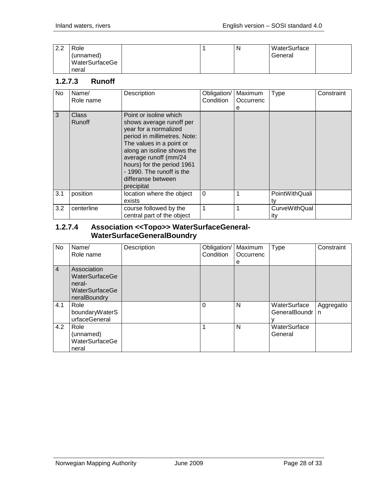| ററ<br>ے.ء | Role           |  | N | WaterSurface |  |
|-----------|----------------|--|---|--------------|--|
|           | (unnamed)      |  |   | General      |  |
|           | WaterSurfaceGe |  |   |              |  |
|           | neral          |  |   |              |  |

#### <span id="page-27-0"></span>**1.2.7.3 Runoff**

| No  | Name/<br>Role name     | Description                                                                                                                                                                                                                                                                                   | Obligation/<br>Condition | Maximum<br>Occurrenc<br>е | <b>Type</b>                 | Constraint |
|-----|------------------------|-----------------------------------------------------------------------------------------------------------------------------------------------------------------------------------------------------------------------------------------------------------------------------------------------|--------------------------|---------------------------|-----------------------------|------------|
| 3   | <b>Class</b><br>Runoff | Point or isoline which<br>shows average runoff per<br>year for a normalized<br>period in millimetres. Note:<br>The values in a point or<br>along an isoline shows the<br>average runoff (mm/24<br>hours) for the period 1961<br>- 1990. The runoff is the<br>differanse between<br>precipitat |                          |                           |                             |            |
| 3.1 | position               | location where the object<br>exists                                                                                                                                                                                                                                                           | $\Omega$                 |                           | PointWithQuali<br>tv        |            |
| 3.2 | centerline             | course followed by the<br>central part of the object                                                                                                                                                                                                                                          | $\mathbf 1$              |                           | <b>CurveWithQual</b><br>itv |            |

#### <span id="page-27-1"></span>**1.2.7.4 Association <<Topo>> WaterSurfaceGeneral-WaterSurfaceGeneralBoundry**

| No.            | Name/<br>Role name                                                        | Description | Obligation/<br>Condition | Maximum<br>Occurrenc<br>е | <b>Type</b>                   | Constraint                 |
|----------------|---------------------------------------------------------------------------|-------------|--------------------------|---------------------------|-------------------------------|----------------------------|
| $\overline{4}$ | Association<br>WaterSurfaceGe<br>neral-<br>WaterSurfaceGe<br>neralBoundry |             |                          |                           |                               |                            |
| 4.1            | Role<br>boundaryWaterS<br>urfaceGeneral                                   |             | 0                        | N                         | WaterSurface<br>GeneralBoundr | Aggregatio<br>$\mathsf{n}$ |
| 4.2            | Role<br>(unnamed)<br>WaterSurfaceGe<br>neral                              |             |                          | N                         | WaterSurface<br>General       |                            |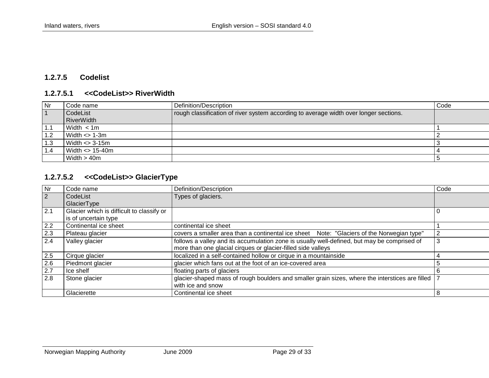#### **1.2.7.5 Codelist**

#### **1.2.7.5.1 <<CodeList>> RiverWidth**

| Nr  | Code name           | Definition/Description                                                                | Code |
|-----|---------------------|---------------------------------------------------------------------------------------|------|
|     | CodeList            | rough classification of river system according to average width over longer sections. |      |
|     | RiverWidth          |                                                                                       |      |
| 1.1 | Width < 1m          |                                                                                       |      |
| 1.2 | $Width \ll 1-3m$    |                                                                                       |      |
| 1.3 | $Width \ll 3-15m$   |                                                                                       |      |
| 1.4 | $Width \leq 15-40m$ |                                                                                       |      |
|     | Width $>$ 40m       |                                                                                       |      |

# **1.2.7.5.2 <<CodeList>> GlacierType**

<span id="page-28-2"></span><span id="page-28-1"></span><span id="page-28-0"></span>

| <b>Nr</b>      | Code name                                 | Definition/Description                                                                              | Code |
|----------------|-------------------------------------------|-----------------------------------------------------------------------------------------------------|------|
| $\overline{2}$ | CodeList                                  | Types of glaciers.                                                                                  |      |
|                | GlacierType                               |                                                                                                     |      |
| 2.1            | Glacier which is difficult to classify or |                                                                                                     |      |
|                | is of uncertain type                      |                                                                                                     |      |
| 2.2            | Continental ice sheet                     | continental ice sheet                                                                               |      |
| 2.3            | Plateau glacier                           | covers a smaller area than a continental ice sheet Note: "Glaciers of the Norwegian type"           |      |
| 2.4            | Valley glacier                            | follows a valley and its accumulation zone is usually well-defined, but may be comprised of         | 3    |
|                |                                           | more than one glacial cirques or glacier-filled side valleys                                        |      |
| $2.5$          | Cirque glacier                            | localized in a self-contained hollow or cirque in a mountainside                                    |      |
| 2.6            | Piedmont glacier                          | glacier which fans out at the foot of an ice-covered area                                           | 5    |
| 2.7            | Ice shelf                                 | floating parts of glaciers                                                                          | 6    |
| 2.8            | Stone glacier                             | glacier-shaped mass of rough boulders and smaller grain sizes, where the interstices are filled   7 |      |
|                |                                           | with ice and snow                                                                                   |      |
|                | Glacierette                               | Continental ice sheet                                                                               | 8    |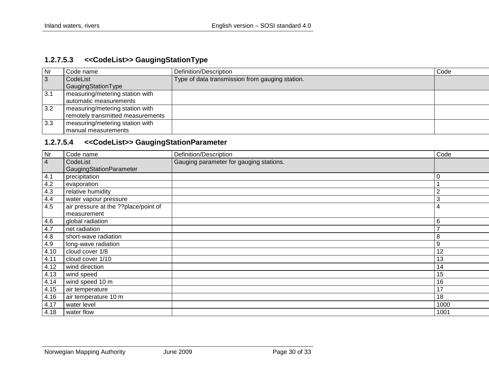#### **1.2.7.5.3 <<CodeList>> GaugingStationType**

| <b>Nr</b>      | Code name                         | Definition/Description                          | Code |
|----------------|-----------------------------------|-------------------------------------------------|------|
| $\overline{3}$ | CodeList                          | Type of data transmission from gauging station. |      |
|                | GaugingStationType                |                                                 |      |
| 3.1            | measuring/metering station with   |                                                 |      |
|                | l automatic measurements          |                                                 |      |
| 3.2            | measuring/metering station with   |                                                 |      |
|                | remotely transmitted measurements |                                                 |      |
| 3.3            | measuring/metering station with   |                                                 |      |
|                | l manual measurements             |                                                 |      |

#### **1.2.7.5.4 <<CodeList>> GaugingStationParameter**

<span id="page-29-1"></span><span id="page-29-0"></span>

| Nr             | Code name                            | Definition/Description                  | Code           |
|----------------|--------------------------------------|-----------------------------------------|----------------|
| $\overline{4}$ | CodeList                             | Gauging parameter for gauging stations. |                |
|                | GaugingStationParameter              |                                         |                |
| 4.1            | precipitation                        |                                         | $\mathbf 0$    |
| 4.2            | evaporation                          |                                         |                |
| 4.3            | relative humidity                    |                                         | $\overline{2}$ |
| 4.4            | water vapour pressure                |                                         | 3              |
| 4.5            | air pressure at the ??place/point of |                                         | 4              |
|                | measurement                          |                                         |                |
| 4.6            | global radiation                     |                                         | 6              |
| 4.7            | net radiation                        |                                         |                |
| 4.8            | short-wave radiation                 |                                         | 8              |
| 4.9            | long-wave radiation                  |                                         | $9\,$          |
| 4.10           | cloud cover 1/8                      |                                         | 12             |
| 4.11           | cloud cover 1/10                     |                                         | 13             |
| 4.12           | wind direction                       |                                         | 14             |
| 4.13           | wind speed                           |                                         | 15             |
| 4.14           | wind speed 10 m                      |                                         | 16             |
| 4.15           | air temperature                      |                                         | 17             |
| 4.16           | air temperature 10 m                 |                                         | 18             |
| 4.17           | water level                          |                                         | 1000           |
| 4.18           | water flow                           |                                         | 1001           |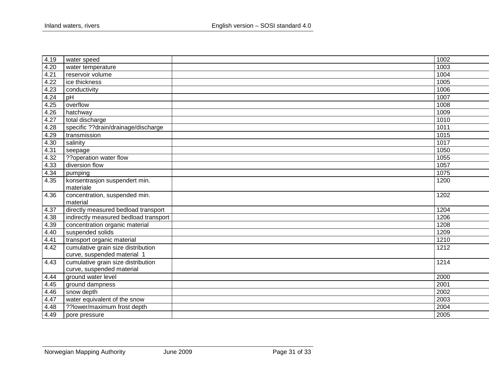| 4.19 | water speed                           | $\frac{1}{1002}$ |
|------|---------------------------------------|------------------|
| 4.20 | water temperature                     | 1003             |
| 4.21 | reservoir volume                      | 1004             |
| 4.22 | ice thickness                         | 1005             |
| 4.23 | conductivity                          | 1006             |
| 4.24 | pH                                    | 1007             |
| 4.25 | overflow                              | 1008             |
| 4.26 | hatchway                              | 1009             |
| 4.27 | total discharge                       | 1010             |
| 4.28 | specific ??drain/drainage/discharge   | 1011             |
| 4.29 | transmission                          | 1015             |
| 4.30 | salinity                              | 1017             |
| 4.31 | seepage                               | 1050             |
| 4.32 | ??operation water flow                | 1055             |
| 4.33 | diversion flow                        | 1057             |
| 4.34 | pumping                               | 1075             |
| 4.35 | konsentrasjon suspendert min.         | 1200             |
|      | materiale                             |                  |
| 4.36 | concentration, suspended min.         | 1202             |
|      | material                              |                  |
| 4.37 | directly measured bedload transport   | 1204             |
| 4.38 | indirectly measured bedload transport | 1206             |
| 4.39 | concentration organic material        | 1208             |
| 4.40 | suspended solids                      | 1209             |
| 4.41 | transport organic material            | 1210             |
| 4.42 | cumulative grain size distribution    | 1212             |
|      | curve, suspended material 1           |                  |
| 4.43 | cumulative grain size distribution    | 1214             |
|      | curve, suspended material             |                  |
| 4.44 | ground water level                    | 2000             |
| 4.45 | ground dampness                       | 2001             |
| 4.46 | snow depth                            | 2002             |
| 4.47 | water equivalent of the snow          | 2003             |
| 4.48 | ??lower/maximum frost depth           | 2004             |
| 4.49 | pore pressure                         | 2005             |
|      |                                       |                  |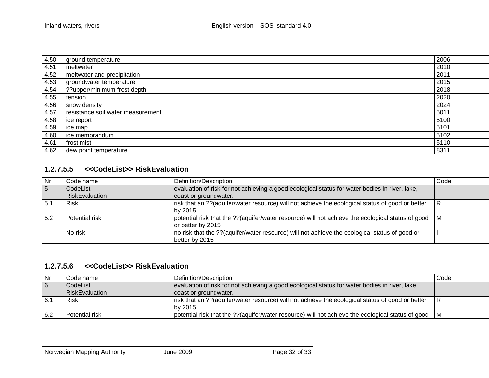| 4.50 | ground temperature                | 2006 |
|------|-----------------------------------|------|
| 4.51 | meltwater                         | 2010 |
| 4.52 | meltwater and precipitation       | 2011 |
| 4.53 | groundwater temperature           | 2015 |
| 4.54 | ??upper/minimum frost depth       | 2018 |
| 4.55 | tension                           | 2020 |
| 4.56 | snow density                      | 2024 |
| 4.57 | resistance soil water measurement | 5011 |
| 4.58 | ice report                        | 5100 |
| 4.59 | ice map                           | 5101 |
| 4.60 | ice memorandum                    | 5102 |
| 4.61 | frost mist                        | 5110 |
| 4.62 | dew point temperature             | 8311 |

#### **1.2.7.5.5 <<CodeList>> RiskEvaluation**

| <b>Nr</b>      | Code name             | Definition/Description                                                                                                 | Code |
|----------------|-----------------------|------------------------------------------------------------------------------------------------------------------------|------|
| $\overline{5}$ | CodeList              | evaluation of risk for not achieving a good ecological status for water bodies in river, lake,                         |      |
|                | <b>RiskEvaluation</b> | coast or groundwater.                                                                                                  |      |
| 5.1            | Risk                  | risk that an ??(aquifer/water resource) will not achieve the ecological status of good or better                       | IR.  |
|                |                       | by 2015                                                                                                                |      |
| 5.2            | Potential risk        | potential risk that the ??(aquifer/water resource) will not achieve the ecological status of good<br>or better by 2015 | I M  |
|                | No risk               | no risk that the ??(aquifer/water resource) will not achieve the ecological status of good or                          |      |
|                |                       | better by 2015                                                                                                         |      |

#### **1.2.7.5.6 <<CodeList>> RiskEvaluation**

<span id="page-31-1"></span><span id="page-31-0"></span>

| Nr  | Code name      | Definition/Description                                                                                | Code |
|-----|----------------|-------------------------------------------------------------------------------------------------------|------|
| 6   | CodeList       | evaluation of risk for not achieving a good ecological status for water bodies in river, lake,        |      |
|     | RiskEvaluation | coast or groundwater.                                                                                 |      |
| 6.7 | Risk           | risk that an ??(aquifer/water resource) will not achieve the ecological status of good or better      | IR.  |
|     |                | l bv 2015                                                                                             |      |
| 6.2 | Potential risk | potential risk that the ??(aquifer/water resource) will not achieve the ecological status of good   M |      |